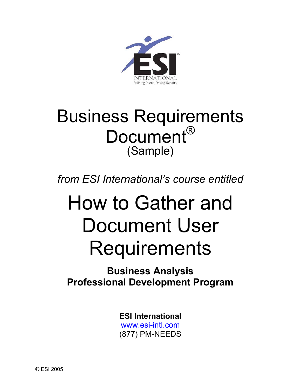

## Business Requirements Document<sup>®</sup> (Sample)

### *from ESI International's course entitled*

# How to Gather and Document User Requirements

### **Business Analysis Professional Development Program**

**ESI International** www.esi-intl.com (877) PM-NEEDS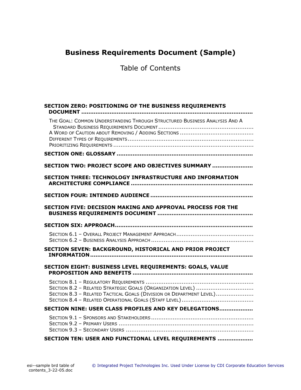#### **Business Requirements Document (Sample)**

Table of Contents

| SECTION ZERO: POSITIONING OF THE BUSINESS REQUIREMENTS                                                                            |
|-----------------------------------------------------------------------------------------------------------------------------------|
| THE GOAL: COMMON UNDERSTANDING THROUGH STRUCTURED BUSINESS ANALYSIS AND A                                                         |
|                                                                                                                                   |
| SECTION TWO: PROJECT SCOPE AND OBJECTIVES SUMMARY                                                                                 |
| <b>SECTION THREE: TECHNOLOGY INFRASTRUCTURE AND INFORMATION</b>                                                                   |
|                                                                                                                                   |
| <b>SECTION FIVE: DECISION MAKING AND APPROVAL PROCESS FOR THE</b>                                                                 |
|                                                                                                                                   |
|                                                                                                                                   |
| SECTION SEVEN: BACKGROUND, HISTORICAL AND PRIOR PROJECT                                                                           |
| SECTION EIGHT: BUSINESS LEVEL REQUIREMENTS: GOALS, VALUE                                                                          |
| SECTION 8.2 - RELATED STRATEGIC GOALS (ORGANIZATION LEVEL)<br>SECTION 8.3 - RELATED TACTICAL GOALS (DIVISION OR DEPARTMENT LEVEL) |
| SECTION NINE: USER CLASS PROFILES AND KEY DELEGATIONS                                                                             |
|                                                                                                                                   |
| SECTION TEN: USER AND FUNCTIONAL LEVEL REQUIREMENTS                                                                               |